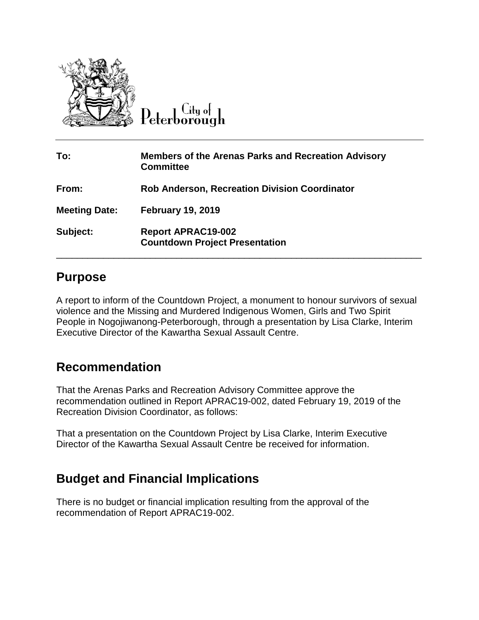

 $C$ ity of Peterborough

| To:                  | <b>Members of the Arenas Parks and Recreation Advisory</b><br><b>Committee</b> |
|----------------------|--------------------------------------------------------------------------------|
| From:                | <b>Rob Anderson, Recreation Division Coordinator</b>                           |
| <b>Meeting Date:</b> | <b>February 19, 2019</b>                                                       |
| Subject:             | <b>Report APRAC19-002</b><br><b>Countdown Project Presentation</b>             |

## **Purpose**

A report to inform of the Countdown Project, a monument to honour survivors of sexual violence and the Missing and Murdered Indigenous Women, Girls and Two Spirit People in Nogojiwanong-Peterborough, through a presentation by Lisa Clarke, Interim Executive Director of the Kawartha Sexual Assault Centre.

## **Recommendation**

That the Arenas Parks and Recreation Advisory Committee approve the recommendation outlined in Report APRAC19-002, dated February 19, 2019 of the Recreation Division Coordinator, as follows:

That a presentation on the Countdown Project by Lisa Clarke, Interim Executive Director of the Kawartha Sexual Assault Centre be received for information.

## **Budget and Financial Implications**

There is no budget or financial implication resulting from the approval of the recommendation of Report APRAC19-002.